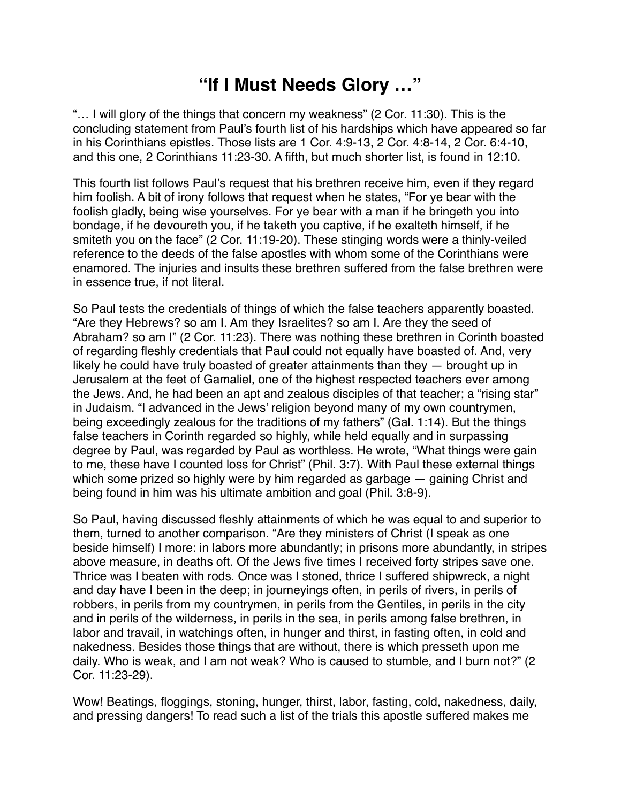## **"If I Must Needs Glory …"**

"… I will glory of the things that concern my weakness" (2 Cor. 11:30). This is the concluding statement from Paul's fourth list of his hardships which have appeared so far in his Corinthians epistles. Those lists are 1 Cor. 4:9-13, 2 Cor. 4:8-14, 2 Cor. 6:4-10, and this one, 2 Corinthians 11:23-30. A fifth, but much shorter list, is found in 12:10.

This fourth list follows Paul's request that his brethren receive him, even if they regard him foolish. A bit of irony follows that request when he states, "For ye bear with the foolish gladly, being wise yourselves. For ye bear with a man if he bringeth you into bondage, if he devoureth you, if he taketh you captive, if he exalteth himself, if he smiteth you on the face" (2 Cor. 11:19-20). These stinging words were a thinly-veiled reference to the deeds of the false apostles with whom some of the Corinthians were enamored. The injuries and insults these brethren suffered from the false brethren were in essence true, if not literal.

So Paul tests the credentials of things of which the false teachers apparently boasted. "Are they Hebrews? so am I. Am they Israelites? so am I. Are they the seed of Abraham? so am I" (2 Cor. 11:23). There was nothing these brethren in Corinth boasted of regarding fleshly credentials that Paul could not equally have boasted of. And, very likely he could have truly boasted of greater attainments than they — brought up in Jerusalem at the feet of Gamaliel, one of the highest respected teachers ever among the Jews. And, he had been an apt and zealous disciples of that teacher; a "rising star" in Judaism. "I advanced in the Jews' religion beyond many of my own countrymen, being exceedingly zealous for the traditions of my fathers" (Gal. 1:14). But the things false teachers in Corinth regarded so highly, while held equally and in surpassing degree by Paul, was regarded by Paul as worthless. He wrote, "What things were gain to me, these have I counted loss for Christ" (Phil. 3:7). With Paul these external things which some prized so highly were by him regarded as garbage — gaining Christ and being found in him was his ultimate ambition and goal (Phil. 3:8-9).

So Paul, having discussed fleshly attainments of which he was equal to and superior to them, turned to another comparison. "Are they ministers of Christ (I speak as one beside himself) I more: in labors more abundantly; in prisons more abundantly, in stripes above measure, in deaths oft. Of the Jews five times I received forty stripes save one. Thrice was I beaten with rods. Once was I stoned, thrice I suffered shipwreck, a night and day have I been in the deep; in journeyings often, in perils of rivers, in perils of robbers, in perils from my countrymen, in perils from the Gentiles, in perils in the city and in perils of the wilderness, in perils in the sea, in perils among false brethren, in labor and travail, in watchings often, in hunger and thirst, in fasting often, in cold and nakedness. Besides those things that are without, there is which presseth upon me daily. Who is weak, and I am not weak? Who is caused to stumble, and I burn not?" (2 Cor. 11:23-29).

Wow! Beatings, floggings, stoning, hunger, thirst, labor, fasting, cold, nakedness, daily, and pressing dangers! To read such a list of the trials this apostle suffered makes me